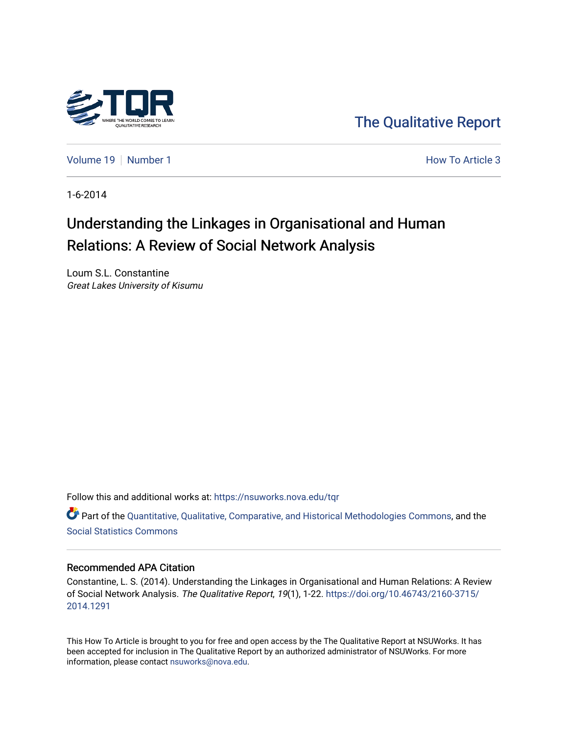

[The Qualitative Report](https://nsuworks.nova.edu/tqr) 

[Volume 19](https://nsuworks.nova.edu/tqr/vol19) [Number 1](https://nsuworks.nova.edu/tqr/vol19/iss1) **Number 1** Number 1 **How To Article 3** 

1-6-2014

# Understanding the Linkages in Organisational and Human Relations: A Review of Social Network Analysis

Loum S.L. Constantine Great Lakes University of Kisumu

Follow this and additional works at: [https://nsuworks.nova.edu/tqr](https://nsuworks.nova.edu/tqr?utm_source=nsuworks.nova.edu%2Ftqr%2Fvol19%2Fiss1%2F3&utm_medium=PDF&utm_campaign=PDFCoverPages) 

Part of the [Quantitative, Qualitative, Comparative, and Historical Methodologies Commons,](http://network.bepress.com/hgg/discipline/423?utm_source=nsuworks.nova.edu%2Ftqr%2Fvol19%2Fiss1%2F3&utm_medium=PDF&utm_campaign=PDFCoverPages) and the [Social Statistics Commons](http://network.bepress.com/hgg/discipline/1275?utm_source=nsuworks.nova.edu%2Ftqr%2Fvol19%2Fiss1%2F3&utm_medium=PDF&utm_campaign=PDFCoverPages) 

### Recommended APA Citation

Constantine, L. S. (2014). Understanding the Linkages in Organisational and Human Relations: A Review of Social Network Analysis. The Qualitative Report, 19(1), 1-22. [https://doi.org/10.46743/2160-3715/](https://doi.org/10.46743/2160-3715/2014.1291) [2014.1291](https://doi.org/10.46743/2160-3715/2014.1291) 

This How To Article is brought to you for free and open access by the The Qualitative Report at NSUWorks. It has been accepted for inclusion in The Qualitative Report by an authorized administrator of NSUWorks. For more information, please contact [nsuworks@nova.edu.](mailto:nsuworks@nova.edu)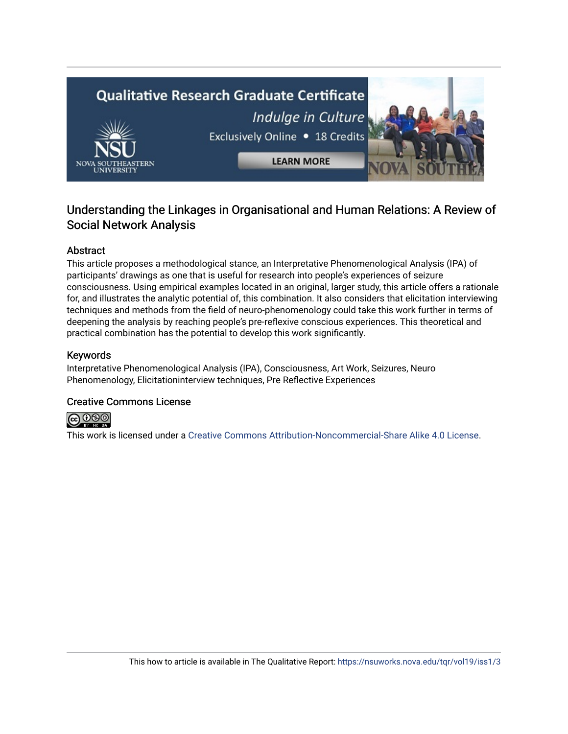

# Understanding the Linkages in Organisational and Human Relations: A Review of Social Network Analysis

# Abstract

This article proposes a methodological stance, an Interpretative Phenomenological Analysis (IPA) of participants' drawings as one that is useful for research into people's experiences of seizure consciousness. Using empirical examples located in an original, larger study, this article offers a rationale for, and illustrates the analytic potential of, this combination. It also considers that elicitation interviewing techniques and methods from the field of neuro-phenomenology could take this work further in terms of deepening the analysis by reaching people's pre-reflexive conscious experiences. This theoretical and practical combination has the potential to develop this work significantly.

### Keywords

Interpretative Phenomenological Analysis (IPA), Consciousness, Art Work, Seizures, Neuro Phenomenology, Elicitationinterview techniques, Pre Reflective Experiences

### Creative Commons License



This work is licensed under a [Creative Commons Attribution-Noncommercial-Share Alike 4.0 License](https://creativecommons.org/licenses/by-nc-sa/4.0/).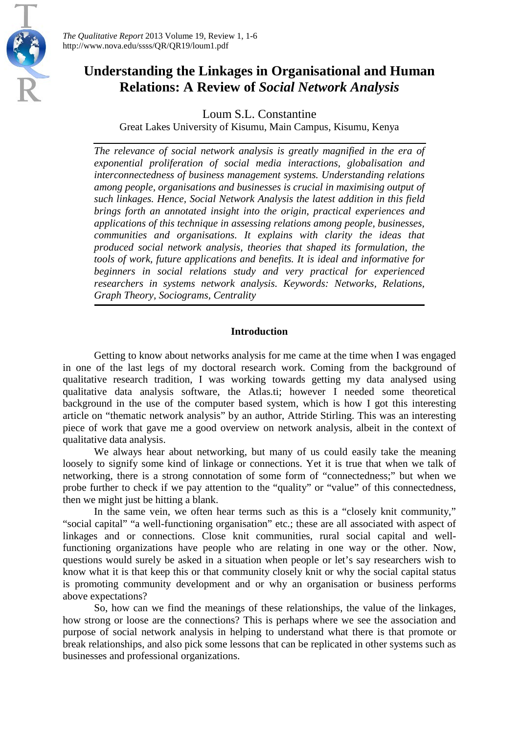

*The Qualitative Report* 2013 Volume 19, Review 1, 1-6 http://www.nova.edu/ssss/QR/QR19/loum1.pdf

# **Understanding the Linkages in Organisational and Human Relations: A Review of** *Social Network Analysis*

Loum S.L. Constantine

Great Lakes University of Kisumu, Main Campus, Kisumu, Kenya

*The relevance of social network analysis is greatly magnified in the era of exponential proliferation of social media interactions, globalisation and interconnectedness of business management systems. Understanding relations among people, organisations and businesses is crucial in maximising output of such linkages. Hence, Social Network Analysis the latest addition in this field brings forth an annotated insight into the origin, practical experiences and applications of this technique in assessing relations among people, businesses, communities and organisations. It explains with clarity the ideas that produced social network analysis, theories that shaped its formulation, the tools of work, future applications and benefits. It is ideal and informative for beginners in social relations study and very practical for experienced researchers in systems network analysis. Keywords: Networks, Relations, Graph Theory, Sociograms, Centrality*

# **Introduction**

Getting to know about networks analysis for me came at the time when I was engaged in one of the last legs of my doctoral research work. Coming from the background of qualitative research tradition, I was working towards getting my data analysed using qualitative data analysis software, the Atlas.ti; however I needed some theoretical background in the use of the computer based system, which is how I got this interesting article on "thematic network analysis" by an author, Attride Stirling. This was an interesting piece of work that gave me a good overview on network analysis, albeit in the context of qualitative data analysis.

We always hear about networking, but many of us could easily take the meaning loosely to signify some kind of linkage or connections. Yet it is true that when we talk of networking, there is a strong connotation of some form of "connectedness;" but when we probe further to check if we pay attention to the "quality" or "value" of this connectedness, then we might just be hitting a blank.

In the same vein, we often hear terms such as this is a "closely knit community," "social capital" "a well-functioning organisation" etc.; these are all associated with aspect of linkages and or connections. Close knit communities, rural social capital and wellfunctioning organizations have people who are relating in one way or the other. Now, questions would surely be asked in a situation when people or let's say researchers wish to know what it is that keep this or that community closely knit or why the social capital status is promoting community development and or why an organisation or business performs above expectations?

So, how can we find the meanings of these relationships, the value of the linkages, how strong or loose are the connections? This is perhaps where we see the association and purpose of social network analysis in helping to understand what there is that promote or break relationships, and also pick some lessons that can be replicated in other systems such as businesses and professional organizations.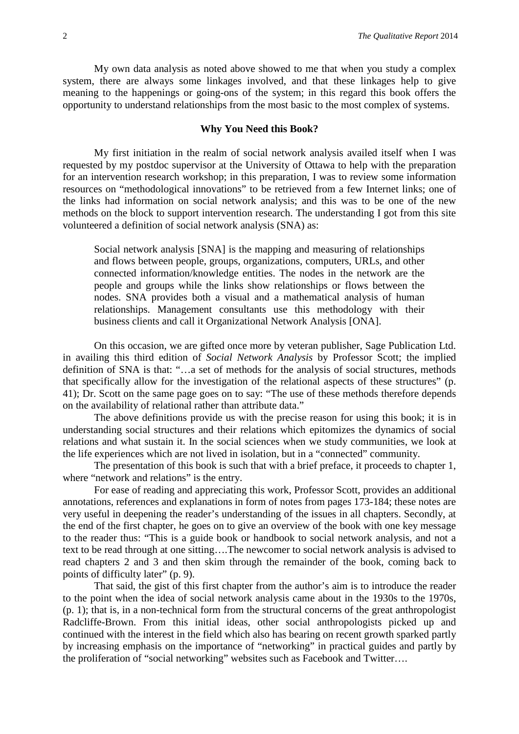My own data analysis as noted above showed to me that when you study a complex system, there are always some linkages involved, and that these linkages help to give meaning to the happenings or going-ons of the system; in this regard this book offers the opportunity to understand relationships from the most basic to the most complex of systems.

### **Why You Need this Book?**

My first initiation in the realm of social network analysis availed itself when I was requested by my postdoc supervisor at the University of Ottawa to help with the preparation for an intervention research workshop; in this preparation, I was to review some information resources on "methodological innovations" to be retrieved from a few Internet links; one of the links had information on social network analysis; and this was to be one of the new methods on the block to support intervention research. The understanding I got from this site volunteered a definition of social network analysis (SNA) as:

Social network analysis [SNA] is the mapping and measuring of relationships and flows between people, groups, organizations, computers, URLs, and other connected information/knowledge entities. The nodes in the network are the people and groups while the links show relationships or flows between the nodes. SNA provides both a visual and a mathematical analysis of human relationships. Management consultants use this methodology with their business clients and call it Organizational Network Analysis [ONA].

On this occasion, we are gifted once more by veteran publisher, Sage Publication Ltd. in availing this third edition of *Social Network Analysis* by Professor Scott; the implied definition of SNA is that: "…a set of methods for the analysis of social structures, methods that specifically allow for the investigation of the relational aspects of these structures" (p. 41); Dr. Scott on the same page goes on to say: "The use of these methods therefore depends on the availability of relational rather than attribute data."

The above definitions provide us with the precise reason for using this book; it is in understanding social structures and their relations which epitomizes the dynamics of social relations and what sustain it. In the social sciences when we study communities, we look at the life experiences which are not lived in isolation, but in a "connected" community.

The presentation of this book is such that with a brief preface, it proceeds to chapter 1, where "network and relations" is the entry.

For ease of reading and appreciating this work, Professor Scott, provides an additional annotations, references and explanations in form of notes from pages 173-184; these notes are very useful in deepening the reader's understanding of the issues in all chapters. Secondly, at the end of the first chapter, he goes on to give an overview of the book with one key message to the reader thus: "This is a guide book or handbook to social network analysis, and not a text to be read through at one sitting….The newcomer to social network analysis is advised to read chapters 2 and 3 and then skim through the remainder of the book, coming back to points of difficulty later" (p. 9).

That said, the gist of this first chapter from the author's aim is to introduce the reader to the point when the idea of social network analysis came about in the 1930s to the 1970s, (p. 1); that is, in a non-technical form from the structural concerns of the great anthropologist Radcliffe-Brown. From this initial ideas, other social anthropologists picked up and continued with the interest in the field which also has bearing on recent growth sparked partly by increasing emphasis on the importance of "networking" in practical guides and partly by the proliferation of "social networking" websites such as Facebook and Twitter….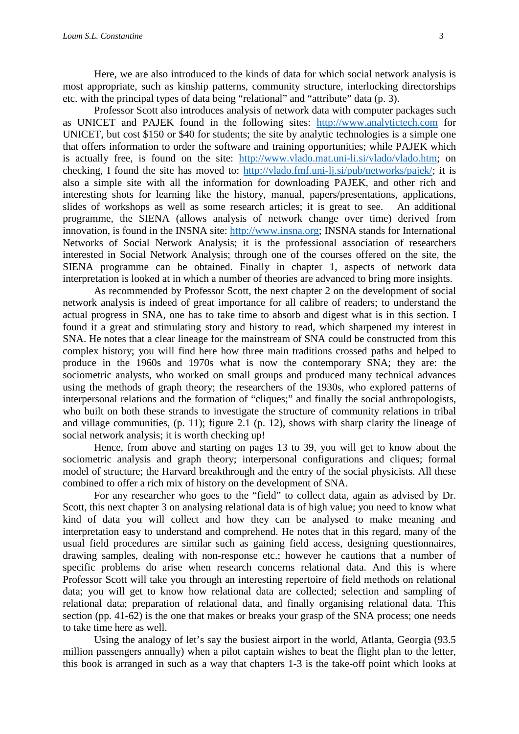Here, we are also introduced to the kinds of data for which social network analysis is most appropriate, such as kinship patterns, community structure, interlocking directorships etc. with the principal types of data being "relational" and "attribute" data (p. 3).

Professor Scott also introduces analysis of network data with computer packages such as UNICET and PAJEK found in the following sites: [http://www.analytictech.com](http://www.analytictech.com/) for UNICET, but cost \$150 or \$40 for students; the site by analytic technologies is a simple one that offers information to order the software and training opportunities; while PAJEK which is actually free, is found on the site: [http://www.vlado.mat.uni-li.si/vlado/vlado.htm;](http://www.vlado.mat.uni-li.si/vlado/vlado.htm) on checking, I found the site has moved to: [http://vlado.fmf.uni-lj.si/pub/networks/pajek/;](http://vlado.fmf.uni-lj.si/pub/networks/pajek/) it is also a simple site with all the information for downloading PAJEK, and other rich and interesting shots for learning like the history, manual, papers/presentations, applications, slides of workshops as well as some research articles; it is great to see. An additional programme, the SIENA (allows analysis of network change over time) derived from innovation, is found in the INSNA site: [http://www.insna.org;](http://www.insna.org/) INSNA stands for International Networks of Social Network Analysis; it is the professional association of researchers interested in Social Network Analysis; through one of the courses offered on the site, the SIENA programme can be obtained. Finally in chapter 1, aspects of network data interpretation is looked at in which a number of theories are advanced to bring more insights.

As recommended by Professor Scott, the next chapter 2 on the development of social network analysis is indeed of great importance for all calibre of readers; to understand the actual progress in SNA, one has to take time to absorb and digest what is in this section. I found it a great and stimulating story and history to read, which sharpened my interest in SNA. He notes that a clear lineage for the mainstream of SNA could be constructed from this complex history; you will find here how three main traditions crossed paths and helped to produce in the 1960s and 1970s what is now the contemporary SNA; they are: the sociometric analysts, who worked on small groups and produced many technical advances using the methods of graph theory; the researchers of the 1930s, who explored patterns of interpersonal relations and the formation of "cliques;" and finally the social anthropologists, who built on both these strands to investigate the structure of community relations in tribal and village communities, (p. 11); figure 2.1 (p. 12), shows with sharp clarity the lineage of social network analysis; it is worth checking up!

Hence, from above and starting on pages 13 to 39, you will get to know about the sociometric analysis and graph theory; interpersonal configurations and cliques; formal model of structure; the Harvard breakthrough and the entry of the social physicists. All these combined to offer a rich mix of history on the development of SNA.

For any researcher who goes to the "field" to collect data, again as advised by Dr. Scott, this next chapter 3 on analysing relational data is of high value; you need to know what kind of data you will collect and how they can be analysed to make meaning and interpretation easy to understand and comprehend. He notes that in this regard, many of the usual field procedures are similar such as gaining field access, designing questionnaires, drawing samples, dealing with non-response etc.; however he cautions that a number of specific problems do arise when research concerns relational data. And this is where Professor Scott will take you through an interesting repertoire of field methods on relational data; you will get to know how relational data are collected; selection and sampling of relational data; preparation of relational data, and finally organising relational data. This section (pp. 41-62) is the one that makes or breaks your grasp of the SNA process; one needs to take time here as well.

Using the analogy of let's say the busiest airport in the world, Atlanta, Georgia (93.5 million passengers annually) when a pilot captain wishes to beat the flight plan to the letter, this book is arranged in such as a way that chapters 1-3 is the take-off point which looks at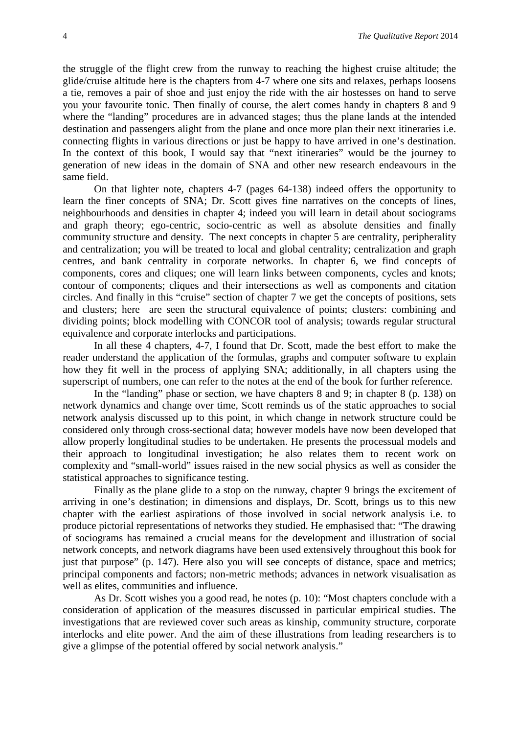the struggle of the flight crew from the runway to reaching the highest cruise altitude; the glide/cruise altitude here is the chapters from 4-7 where one sits and relaxes, perhaps loosens a tie, removes a pair of shoe and just enjoy the ride with the air hostesses on hand to serve you your favourite tonic. Then finally of course, the alert comes handy in chapters 8 and 9 where the "landing" procedures are in advanced stages; thus the plane lands at the intended destination and passengers alight from the plane and once more plan their next itineraries i.e. connecting flights in various directions or just be happy to have arrived in one's destination. In the context of this book, I would say that "next itineraries" would be the journey to generation of new ideas in the domain of SNA and other new research endeavours in the same field.

On that lighter note, chapters 4-7 (pages 64-138) indeed offers the opportunity to learn the finer concepts of SNA; Dr. Scott gives fine narratives on the concepts of lines, neighbourhoods and densities in chapter 4; indeed you will learn in detail about sociograms and graph theory; ego-centric, socio-centric as well as absolute densities and finally community structure and density. The next concepts in chapter 5 are centrality, peripherality and centralization; you will be treated to local and global centrality; centralization and graph centres, and bank centrality in corporate networks. In chapter 6, we find concepts of components, cores and cliques; one will learn links between components, cycles and knots; contour of components; cliques and their intersections as well as components and citation circles. And finally in this "cruise" section of chapter 7 we get the concepts of positions, sets and clusters; here are seen the structural equivalence of points; clusters: combining and dividing points; block modelling with CONCOR tool of analysis; towards regular structural equivalence and corporate interlocks and participations.

In all these 4 chapters, 4-7, I found that Dr. Scott, made the best effort to make the reader understand the application of the formulas, graphs and computer software to explain how they fit well in the process of applying SNA; additionally, in all chapters using the superscript of numbers, one can refer to the notes at the end of the book for further reference.

In the "landing" phase or section, we have chapters 8 and 9; in chapter 8 (p. 138) on network dynamics and change over time, Scott reminds us of the static approaches to social network analysis discussed up to this point, in which change in network structure could be considered only through cross-sectional data; however models have now been developed that allow properly longitudinal studies to be undertaken. He presents the processual models and their approach to longitudinal investigation; he also relates them to recent work on complexity and "small-world" issues raised in the new social physics as well as consider the statistical approaches to significance testing.

Finally as the plane glide to a stop on the runway, chapter 9 brings the excitement of arriving in one's destination; in dimensions and displays, Dr. Scott, brings us to this new chapter with the earliest aspirations of those involved in social network analysis i.e. to produce pictorial representations of networks they studied. He emphasised that: "The drawing of sociograms has remained a crucial means for the development and illustration of social network concepts, and network diagrams have been used extensively throughout this book for just that purpose" (p. 147). Here also you will see concepts of distance, space and metrics; principal components and factors; non-metric methods; advances in network visualisation as well as elites, communities and influence.

As Dr. Scott wishes you a good read, he notes (p. 10): "Most chapters conclude with a consideration of application of the measures discussed in particular empirical studies. The investigations that are reviewed cover such areas as kinship, community structure, corporate interlocks and elite power. And the aim of these illustrations from leading researchers is to give a glimpse of the potential offered by social network analysis."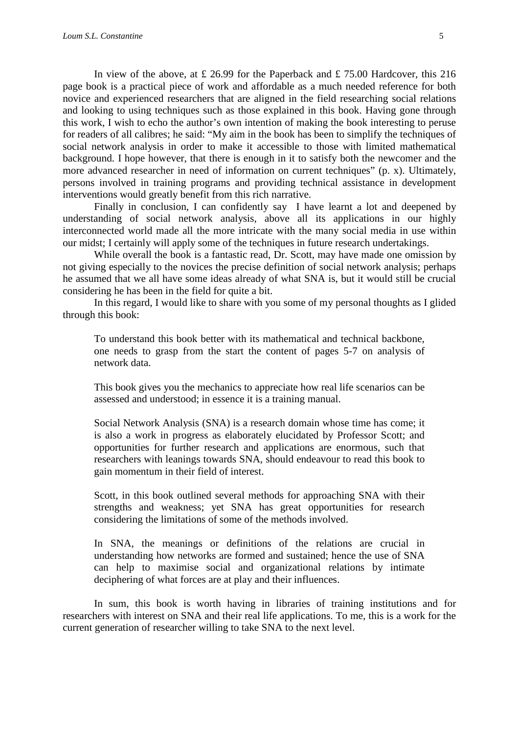In view of the above, at £ 26.99 for the Paperback and £ 75.00 Hardcover, this 216 page book is a practical piece of work and affordable as a much needed reference for both novice and experienced researchers that are aligned in the field researching social relations and looking to using techniques such as those explained in this book. Having gone through this work, I wish to echo the author's own intention of making the book interesting to peruse for readers of all calibres; he said: "My aim in the book has been to simplify the techniques of social network analysis in order to make it accessible to those with limited mathematical background. I hope however, that there is enough in it to satisfy both the newcomer and the more advanced researcher in need of information on current techniques" (p. x). Ultimately, persons involved in training programs and providing technical assistance in development interventions would greatly benefit from this rich narrative.

Finally in conclusion, I can confidently say I have learnt a lot and deepened by understanding of social network analysis, above all its applications in our highly interconnected world made all the more intricate with the many social media in use within our midst; I certainly will apply some of the techniques in future research undertakings.

While overall the book is a fantastic read, Dr. Scott, may have made one omission by not giving especially to the novices the precise definition of social network analysis; perhaps he assumed that we all have some ideas already of what SNA is, but it would still be crucial considering he has been in the field for quite a bit.

In this regard, I would like to share with you some of my personal thoughts as I glided through this book:

To understand this book better with its mathematical and technical backbone, one needs to grasp from the start the content of pages 5-7 on analysis of network data.

This book gives you the mechanics to appreciate how real life scenarios can be assessed and understood; in essence it is a training manual.

Social Network Analysis (SNA) is a research domain whose time has come; it is also a work in progress as elaborately elucidated by Professor Scott; and opportunities for further research and applications are enormous, such that researchers with leanings towards SNA, should endeavour to read this book to gain momentum in their field of interest.

Scott, in this book outlined several methods for approaching SNA with their strengths and weakness; yet SNA has great opportunities for research considering the limitations of some of the methods involved.

In SNA, the meanings or definitions of the relations are crucial in understanding how networks are formed and sustained; hence the use of SNA can help to maximise social and organizational relations by intimate deciphering of what forces are at play and their influences.

In sum, this book is worth having in libraries of training institutions and for researchers with interest on SNA and their real life applications. To me, this is a work for the current generation of researcher willing to take SNA to the next level.